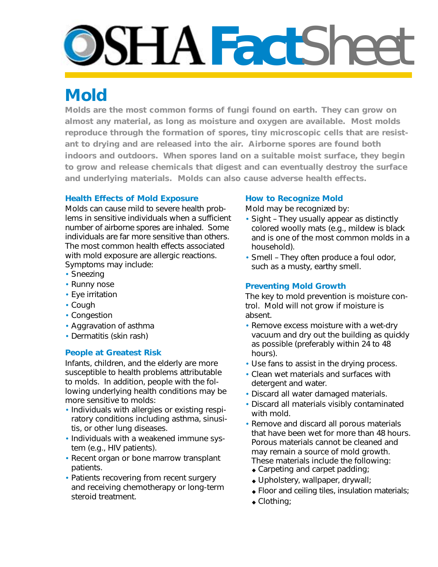# **DSHAFact**Shee

# **Mold**

**Molds are the most common forms of fungi found on earth. They can grow on almost any material, as long as moisture and oxygen are available. Most molds reproduce through the formation of spores, tiny microscopic cells that are resistant to drying and are released into the air. Airborne spores are found both indoors and outdoors. When spores land on a suitable moist surface, they begin to grow and release chemicals that digest and can eventually destroy the surface and underlying materials. Molds can also cause adverse health effects.** 

#### **Health Effects of Mold Exposure**

Molds can cause mild to severe health problems in sensitive individuals when a sufficient number of airborne spores are inhaled. Some individuals are far more sensitive than others. The most common health effects associated with mold exposure are allergic reactions. Symptoms may include:

- Sneezing
- Runny nose
- Eye irritation
- Cough
- Congestion
- Aggravation of asthma
- Dermatitis (skin rash)

## **People at Greatest Risk**

Infants, children, and the elderly are more susceptible to health problems attributable to molds. In addition, people with the following underlying health conditions may be more sensitive to molds:

- Individuals with allergies or existing respiratory conditions including asthma, sinusitis, or other lung diseases.
- Individuals with a weakened immune system (e.g., HIV patients).
- Recent organ or bone marrow transplant patients.
- Patients recovering from recent surgery and receiving chemotherapy or long-term steroid treatment.

#### **How to Recognize Mold**

Mold may be recognized by:

- Sight They usually appear as distinctly colored woolly mats (e.g., mildew is black and is one of the most common molds in a household).
- Smell They often produce a foul odor, such as a musty, earthy smell.

### **Preventing Mold Growth**

The key to mold prevention is moisture control. Mold will not grow if moisture is absent.

- Remove excess moisture with a wet-dry vacuum and dry out the building as quickly as possible (preferably within 24 to 48 hours).
- Use fans to assist in the drying process.
- Clean wet materials and surfaces with detergent and water.
- Discard all water damaged materials.
- Discard all materials visibly contaminated with mold.
- Remove and discard all porous materials that have been wet for more than 48 hours. Porous materials cannot be cleaned and may remain a source of mold growth. These materials include the following:
	- ◆ Carpeting and carpet padding;
	- ◆ Upholstery, wallpaper, drywall;
	- ◆ Floor and ceiling tiles, insulation materials;
	- ◆ Clothing;